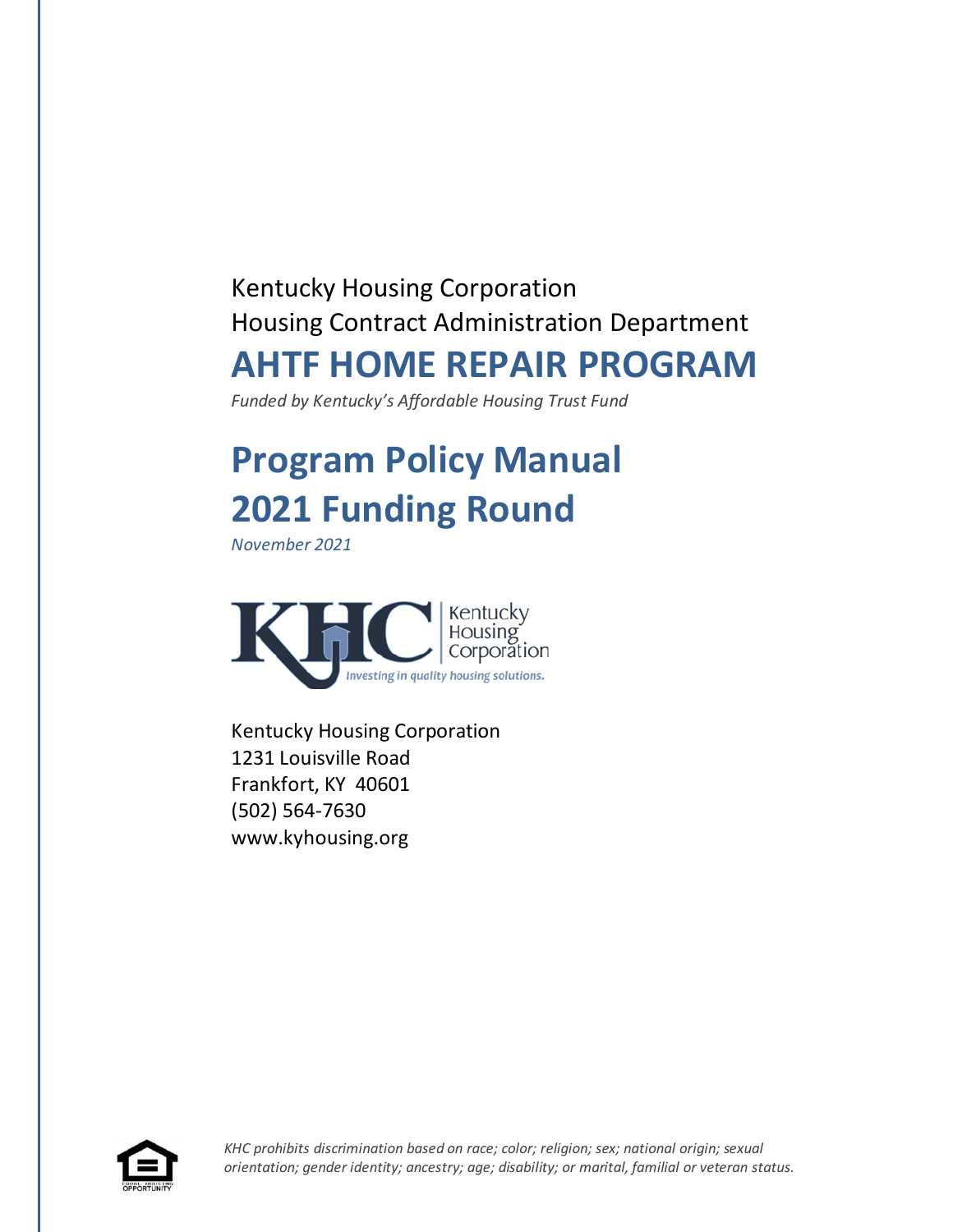# Kentucky Housing Corporation Housing Contract Administration Department **AHTF HOME REPAIR PROGRAM**

*Funded by Kentucky's Affordable Housing Trust Fund*

# **Program Policy Manual 2021 Funding Round**

*November 2021*



Kentucky Housing Corporation 1231 Louisville Road Frankfort, KY 40601 (502) 564-7630 www.kyhousing.org

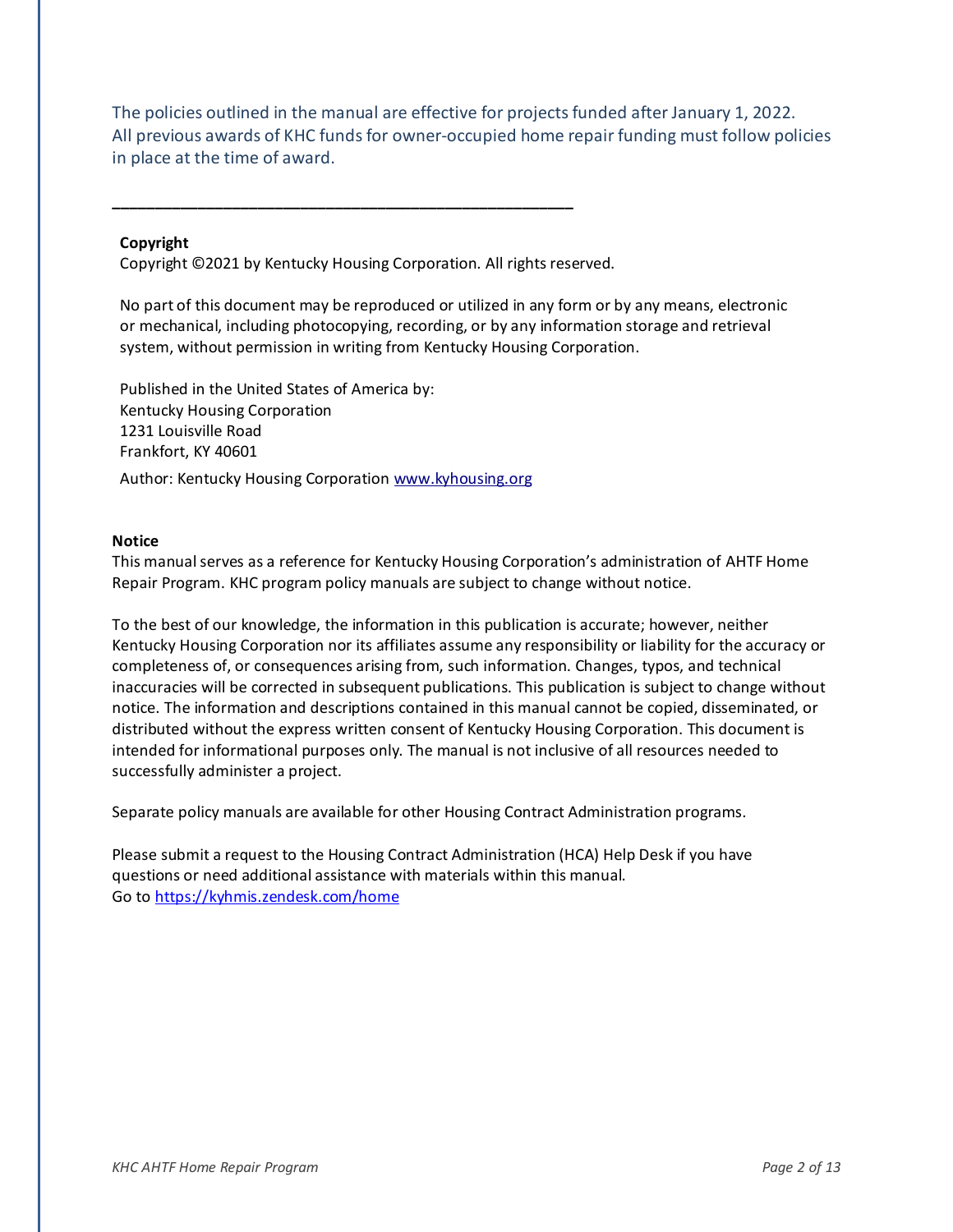The policies outlined in the manual are effective for projects funded after January 1, 2022. All previous awards of KHC funds for owner-occupied home repair funding must follow policies in place at the time of award.

#### **Copyright**

Copyright ©2021 by Kentucky Housing Corporation. All rights reserved.

**\_\_\_\_\_\_\_\_\_\_\_\_\_\_\_\_\_\_\_\_\_\_\_\_\_\_\_\_\_\_\_\_\_\_\_\_\_\_\_\_\_\_\_\_\_\_\_\_\_\_\_\_\_\_**

No part of this document may be reproduced or utilized in any form or by any means, electronic or mechanical, including photocopying, recording, or by any information storage and retrieval system, without permission in writing from Kentucky Housing Corporation.

Published in the United States of America by: Kentucky Housing Corporation 1231 Louisville Road Frankfort, KY 40601 Author: Kentucky Housing Corporatio[n www.kyhousing.org](http://www.kyhousing.org/)

#### **Notice**

This manual serves as a reference for Kentucky Housing Corporation's administration of AHTF Home Repair Program. KHC program policy manuals are subject to change without notice.

To the best of our knowledge, the information in this publication is accurate; however, neither Kentucky Housing Corporation nor its affiliates assume any responsibility or liability for the accuracy or completeness of, or consequences arising from, such information. Changes, typos, and technical inaccuracies will be corrected in subsequent publications. This publication is subject to change without notice. The information and descriptions contained in this manual cannot be copied, disseminated, or distributed without the express written consent of Kentucky Housing Corporation. This document is intended for informational purposes only. The manual is not inclusive of all resources needed to successfully administer a project.

Separate policy manuals are available for other Housing Contract Administration programs.

Please submit a request to the Housing Contract Administration (HCA) Help Desk if you have questions or need additional assistance with materials within this manual. Go to<https://kyhmis.zendesk.com/home>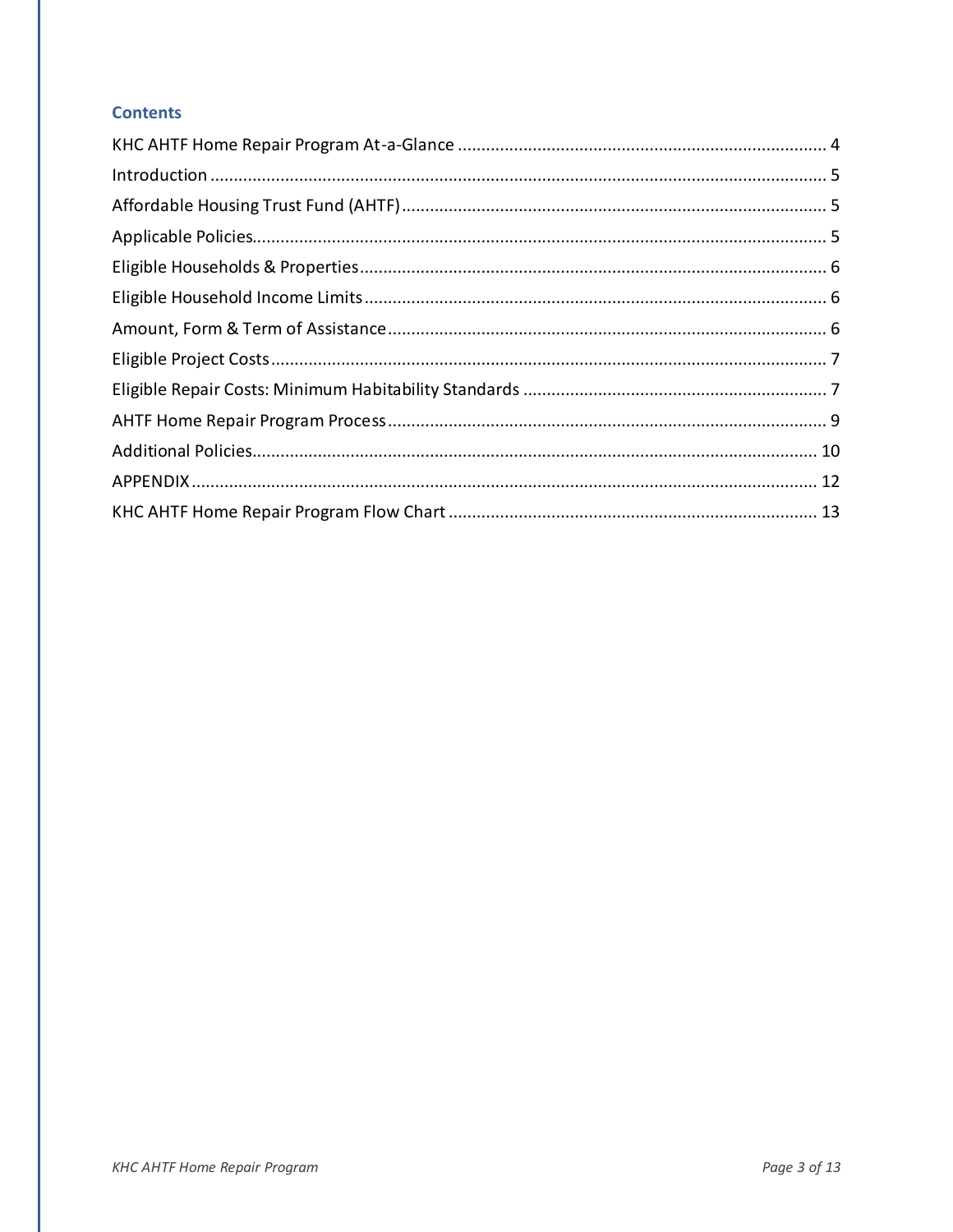#### **Contents**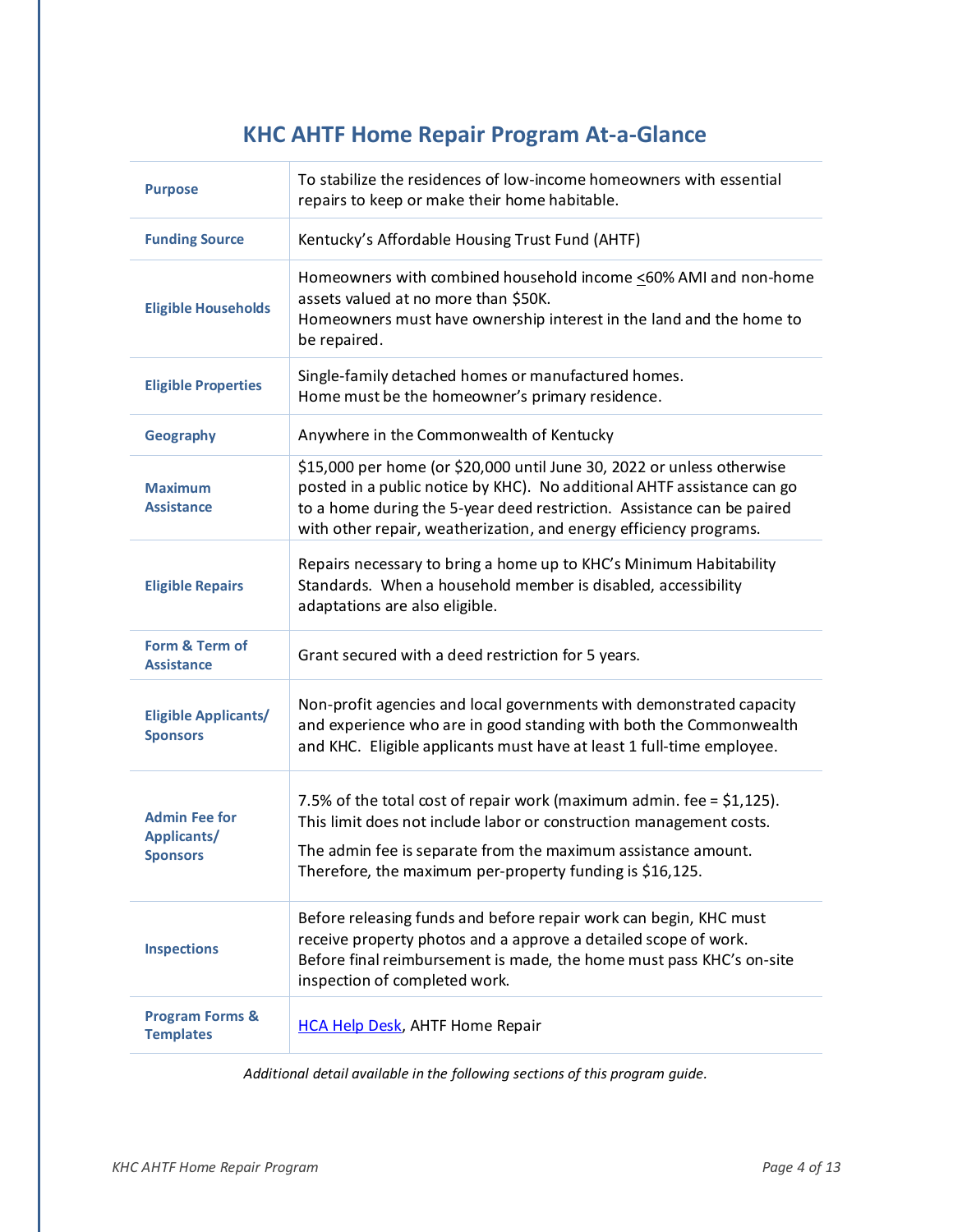# **KHC AHTF Home Repair Program At-a-Glance**

<span id="page-3-0"></span>

| <b>Purpose</b>                                                | To stabilize the residences of low-income homeowners with essential<br>repairs to keep or make their home habitable.                                                                                                                                                                              |
|---------------------------------------------------------------|---------------------------------------------------------------------------------------------------------------------------------------------------------------------------------------------------------------------------------------------------------------------------------------------------|
| <b>Funding Source</b>                                         | Kentucky's Affordable Housing Trust Fund (AHTF)                                                                                                                                                                                                                                                   |
| <b>Eligible Households</b>                                    | Homeowners with combined household income <60% AMI and non-home<br>assets valued at no more than \$50K.<br>Homeowners must have ownership interest in the land and the home to<br>be repaired.                                                                                                    |
| <b>Eligible Properties</b>                                    | Single-family detached homes or manufactured homes.<br>Home must be the homeowner's primary residence.                                                                                                                                                                                            |
| <b>Geography</b>                                              | Anywhere in the Commonwealth of Kentucky                                                                                                                                                                                                                                                          |
| <b>Maximum</b><br><b>Assistance</b>                           | \$15,000 per home (or \$20,000 until June 30, 2022 or unless otherwise<br>posted in a public notice by KHC). No additional AHTF assistance can go<br>to a home during the 5-year deed restriction. Assistance can be paired<br>with other repair, weatherization, and energy efficiency programs. |
| <b>Eligible Repairs</b>                                       | Repairs necessary to bring a home up to KHC's Minimum Habitability<br>Standards. When a household member is disabled, accessibility<br>adaptations are also eligible.                                                                                                                             |
| Form & Term of<br><b>Assistance</b>                           | Grant secured with a deed restriction for 5 years.                                                                                                                                                                                                                                                |
| <b>Eligible Applicants/</b><br><b>Sponsors</b>                | Non-profit agencies and local governments with demonstrated capacity<br>and experience who are in good standing with both the Commonwealth<br>and KHC. Eligible applicants must have at least 1 full-time employee.                                                                               |
| <b>Admin Fee for</b><br><b>Applicants/</b><br><b>Sponsors</b> | 7.5% of the total cost of repair work (maximum admin. fee = \$1,125).<br>This limit does not include labor or construction management costs.<br>The admin fee is separate from the maximum assistance amount.<br>Therefore, the maximum per-property funding is \$16,125.                         |
| <b>Inspections</b>                                            | Before releasing funds and before repair work can begin, KHC must<br>receive property photos and a approve a detailed scope of work.<br>Before final reimbursement is made, the home must pass KHC's on-site<br>inspection of completed work.                                                     |
| <b>Program Forms &amp;</b><br><b>Templates</b>                | <b>HCA Help Desk, AHTF Home Repair</b>                                                                                                                                                                                                                                                            |

*Additional detail available in the following sections of this program guide.*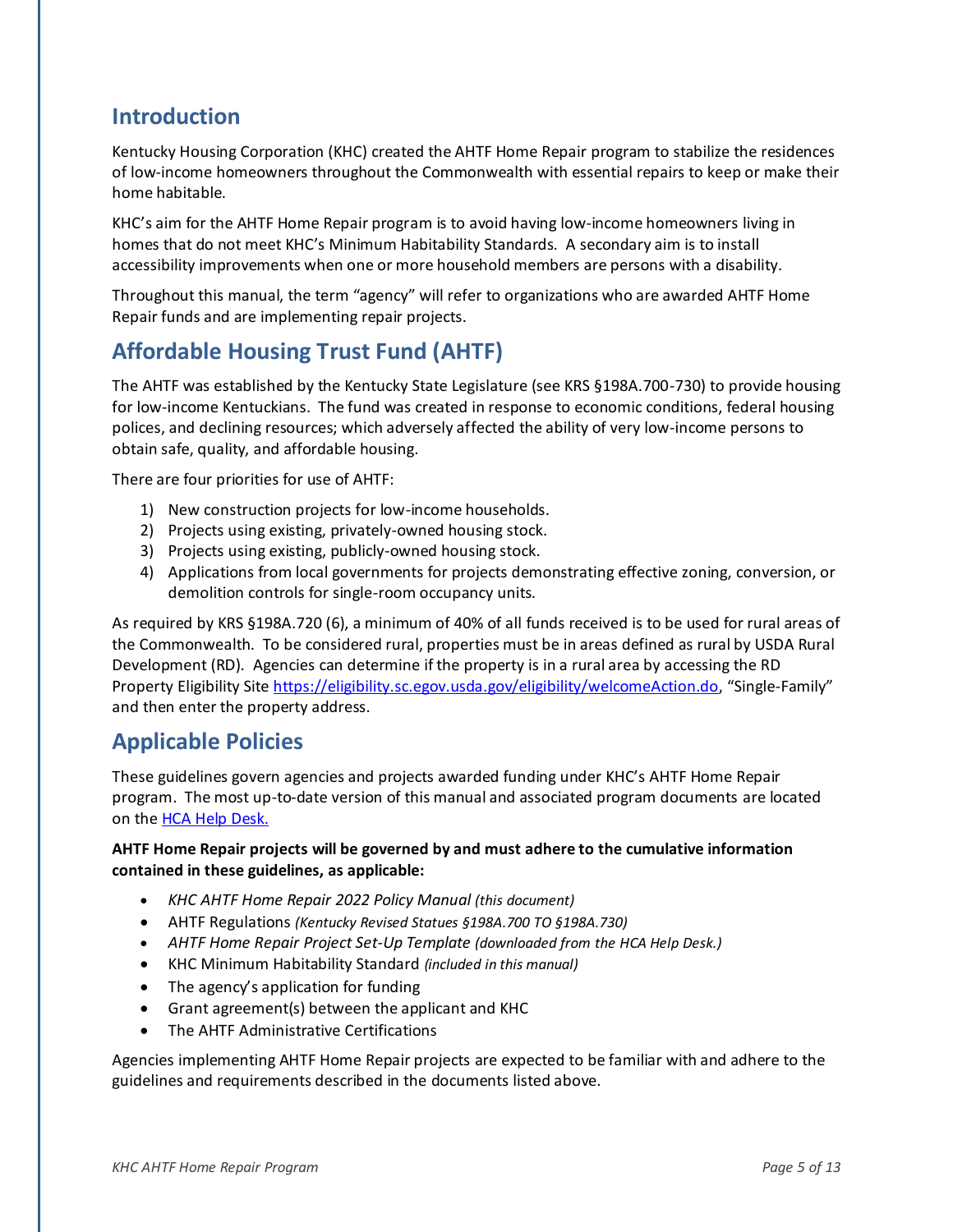# <span id="page-4-0"></span>**Introduction**

Kentucky Housing Corporation (KHC) created the AHTF Home Repair program to stabilize the residences of low-income homeowners throughout the Commonwealth with essential repairs to keep or make their home habitable.

KHC's aim for the AHTF Home Repair program is to avoid having low-income homeowners living in homes that do not meet KHC's Minimum Habitability Standards. A secondary aim is to install accessibility improvements when one or more household members are persons with a disability.

Throughout this manual, the term "agency" will refer to organizations who are awarded AHTF Home Repair funds and are implementing repair projects.

# <span id="page-4-1"></span>**Affordable Housing Trust Fund (AHTF)**

The AHTF was established by the Kentucky State Legislature (see KRS §198A.700-730) to provide housing for low-income Kentuckians. The fund was created in response to economic conditions, federal housing polices, and declining resources; which adversely affected the ability of very low-income persons to obtain safe, quality, and affordable housing.

There are four priorities for use of AHTF:

- 1) New construction projects for low-income households.
- 2) Projects using existing, privately-owned housing stock.
- 3) Projects using existing, publicly-owned housing stock.
- 4) Applications from local governments for projects demonstrating effective zoning, conversion, or demolition controls for single-room occupancy units.

As required by KRS §198A.720 (6), a minimum of 40% of all funds received is to be used for rural areas of the Commonwealth. To be considered rural, properties must be in areas defined as rural by USDA Rural Development (RD). Agencies can determine if the property is in a rural area by accessing the RD Property Eligibility Sit[e https://eligibility.sc.egov.usda.gov/eligibility/welcomeAction.do](https://eligibility.sc.egov.usda.gov/eligibility/welcomeAction.do), "Single-Family" and then enter the property address.

# <span id="page-4-2"></span>**Applicable Policies**

These guidelines govern agencies and projects awarded funding under KHC's AHTF Home Repair program. The most up-to-date version of this manual and associated program documents are located on the **HCA Help Desk.** 

#### **AHTF Home Repair projects will be governed by and must adhere to the cumulative information contained in these guidelines, as applicable:**

- *KHC AHTF Home Repair 2022 Policy Manual (this document)*
- AHTF Regulations *(Kentucky Revised Statues §198A.700 TO §198A.730)*
- *AHTF Home Repair Project Set-Up Template (downloaded from the HCA Help Desk.)*
- KHC Minimum Habitability Standard *(included in this manual)*
- The agency's application for funding
- Grant agreement(s) between the applicant and KHC
- The AHTF Administrative Certifications

Agencies implementing AHTF Home Repair projects are expected to be familiar with and adhere to the guidelines and requirements described in the documents listed above.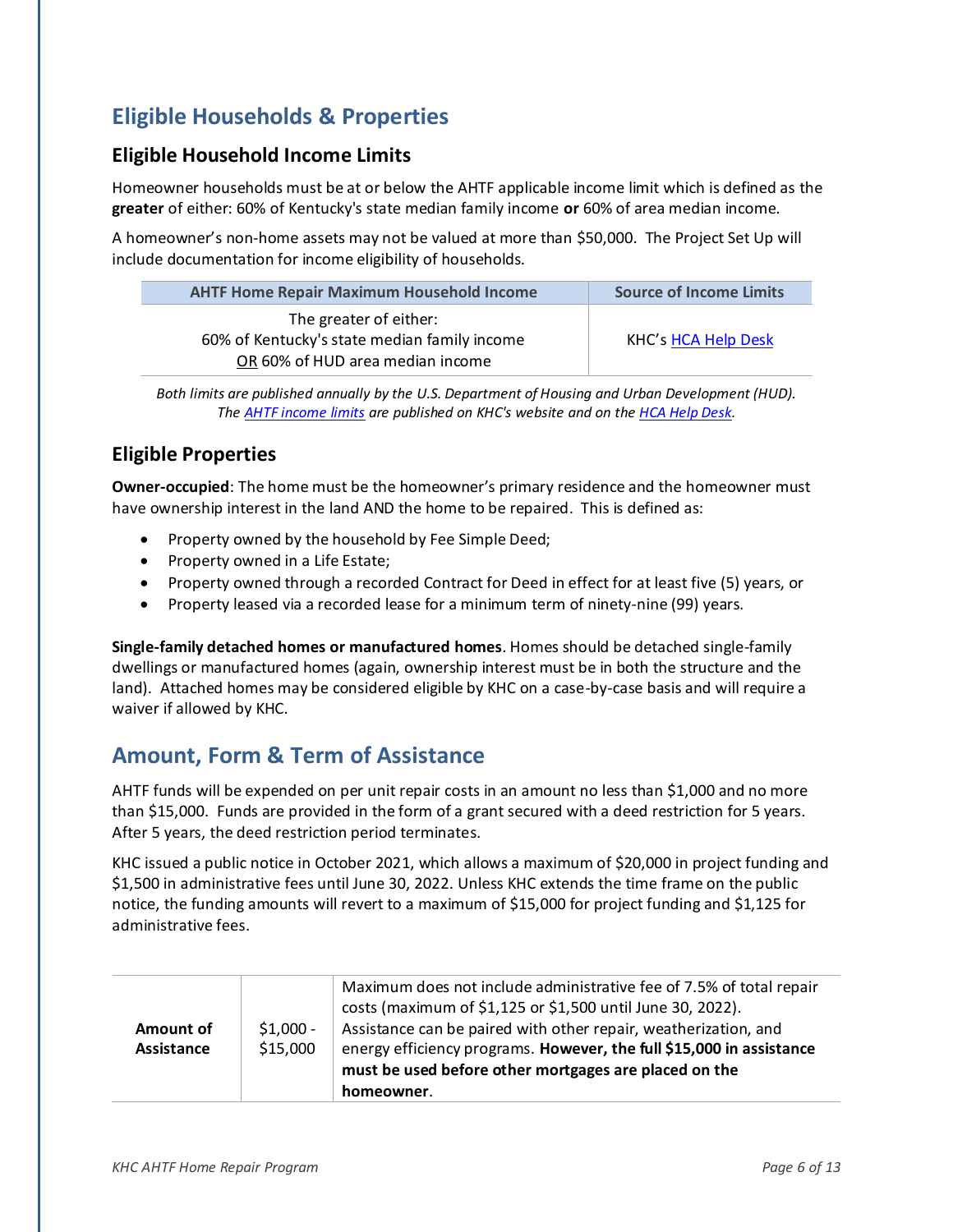# <span id="page-5-0"></span>**Eligible Households & Properties**

#### <span id="page-5-1"></span>**Eligible Household Income Limits**

Homeowner households must be at or below the AHTF applicable income limit which is defined as the **greater** of either: 60% of Kentucky's state median family income **or** 60% of area median income.

A homeowner's non-home assets may not be valued at more than \$50,000. The Project Set Up will include documentation for income eligibility of households.

| <b>AHTF Home Repair Maximum Household Income</b>                       | <b>Source of Income Limits</b> |
|------------------------------------------------------------------------|--------------------------------|
| The greater of either:<br>60% of Kentucky's state median family income | KHC's HCA Help Desk            |
| OR 60% of HUD area median income                                       |                                |

*Both limits are published annually by the U.S. Department of Housing and Urban Development (HUD). Th[e AHTF income limits](https://na01.safelinks.protection.outlook.com/?url=http%3A%2F%2Fr20.rs6.net%2Ftn.jsp%3Ft%3Dk4mimk5ab.0.0.5ldgmkdab.0%26id%3Dpreview%26r%3D3%26p%3Dhttps%253A%252F%252Fkyhmis.zendesk.com%252Fhc%252Fen-us%252Farticles%252F360016364014-KY-AHTF-Income-Limits-January-2019&data=02%7C01%7Csnesselrode%40kyhousing.org%7Cffec721d89414cf310a708d686f3c2b6%7Caea041267f1a46ed81fd06f9287a4399%7C0%7C0%7C636844778854434180&sdata=fhpxODW%2Bj2BwBc6Rh00KVMyznEAe0rJkSP%2F8dC8tdZ8%3D&reserved=0) are published on KHC's website and on th[e HCA Help Desk.](https://na01.safelinks.protection.outlook.com/?url=http%3A%2F%2Fr20.rs6.net%2Ftn.jsp%3Ft%3Dk4mimk5ab.0.0.5ldgmkdab.0%26id%3Dpreview%26r%3D3%26p%3Dhttps%253A%252F%252Fkyhmis.zendesk.com%252Fhc%252Fen-us&data=02%7C01%7Csnesselrode%40kyhousing.org%7Cffec721d89414cf310a708d686f3c2b6%7Caea041267f1a46ed81fd06f9287a4399%7C0%7C0%7C636844778854444192&sdata=AV2a%2BiTSSrBzDBOpSFDysZXZozetKTtTFeN66HUWVjQ%3D&reserved=0)*

## **Eligible Properties**

**Owner-occupied**: The home must be the homeowner's primary residence and the homeowner must have ownership interest in the land AND the home to be repaired. This is defined as:

- Property owned by the household by Fee Simple Deed;
- Property owned in a Life Estate;
- Property owned through a recorded Contract for Deed in effect for at least five (5) years, or
- Property leased via a recorded lease for a minimum term of ninety-nine (99) years.

**Single-family detached homes or manufactured homes**. Homes should be detached single-family dwellings or manufactured homes (again, ownership interest must be in both the structure and the land). Attached homes may be considered eligible by KHC on a case-by-case basis and will require a waiver if allowed by KHC.

# <span id="page-5-2"></span>**Amount, Form & Term of Assistance**

AHTF funds will be expended on per unit repair costs in an amount no less than \$1,000 and no more than \$15,000. Funds are provided in the form of a grant secured with a deed restriction for 5 years. After 5 years, the deed restriction period terminates.

KHC issued a public notice in October 2021, which allows a maximum of \$20,000 in project funding and \$1,500 in administrative fees until June 30, 2022. Unless KHC extends the time frame on the public notice, the funding amounts will revert to a maximum of \$15,000 for project funding and \$1,125 for administrative fees.

| Amount of<br>Assistance | $$1,000 -$<br>\$15,000 | Maximum does not include administrative fee of 7.5% of total repair<br>costs (maximum of \$1,125 or \$1,500 until June 30, 2022).<br>Assistance can be paired with other repair, weatherization, and<br>energy efficiency programs. However, the full \$15,000 in assistance<br>must be used before other mortgages are placed on the |
|-------------------------|------------------------|---------------------------------------------------------------------------------------------------------------------------------------------------------------------------------------------------------------------------------------------------------------------------------------------------------------------------------------|
|                         |                        | homeowner.                                                                                                                                                                                                                                                                                                                            |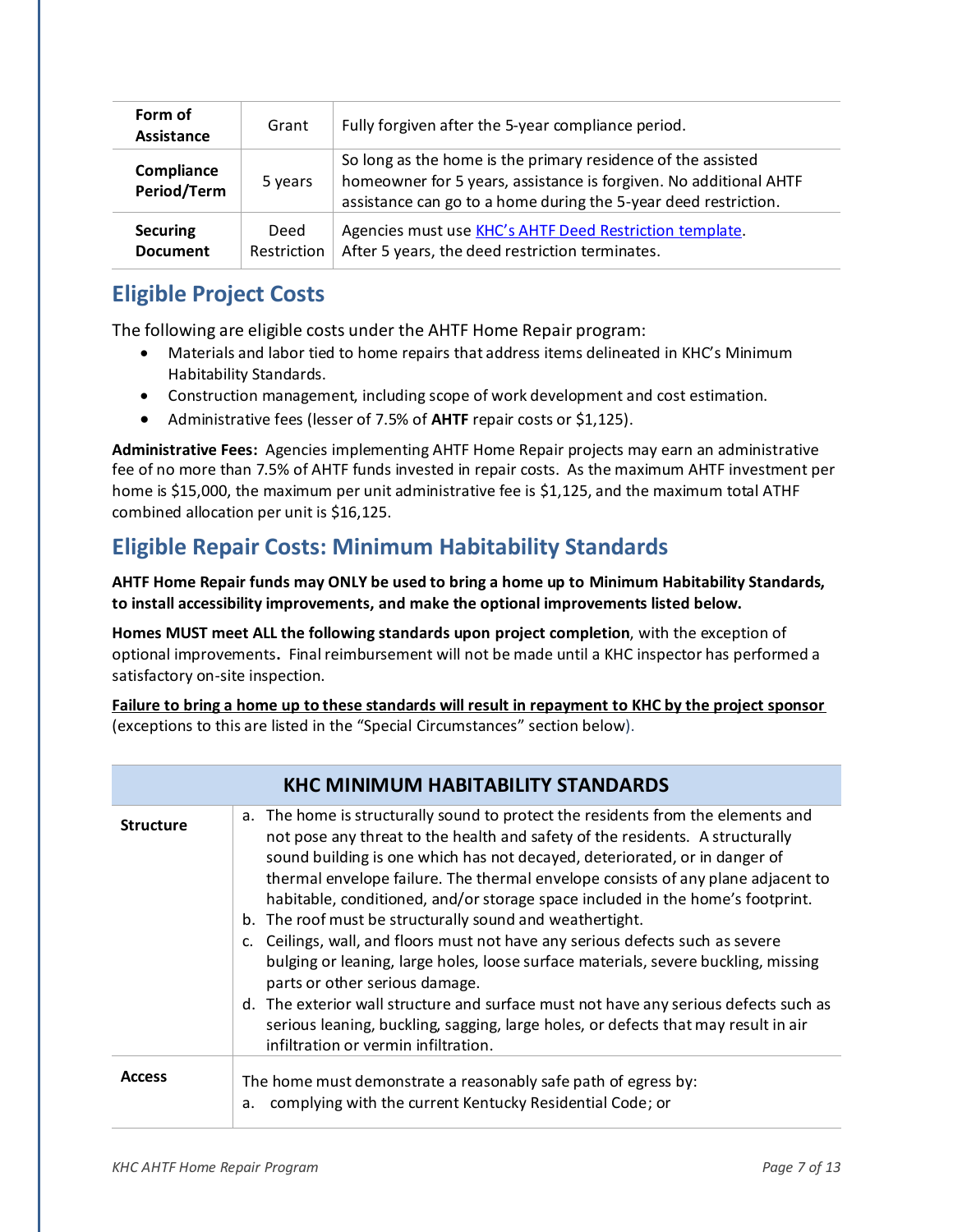| Form of<br>Assistance              | Grant               | Fully forgiven after the 5-year compliance period.                                                                                                                                                   |
|------------------------------------|---------------------|------------------------------------------------------------------------------------------------------------------------------------------------------------------------------------------------------|
| Compliance<br>Period/Term          | 5 years             | So long as the home is the primary residence of the assisted<br>homeowner for 5 years, assistance is forgiven. No additional AHTF<br>assistance can go to a home during the 5-year deed restriction. |
| <b>Securing</b><br><b>Document</b> | Deed<br>Restriction | Agencies must use KHC's AHTF Deed Restriction template.<br>After 5 years, the deed restriction terminates.                                                                                           |

# <span id="page-6-0"></span>**Eligible Project Costs**

The following are eligible costs under the AHTF Home Repair program:

- Materials and labor tied to home repairs that address items delineated in KHC's Minimum Habitability Standards.
- Construction management, including scope of work development and cost estimation.
- Administrative fees (lesser of 7.5% of **AHTF** repair costs or \$1,125).

**Administrative Fees:** Agencies implementing AHTF Home Repair projects may earn an administrative fee of no more than 7.5% of AHTF funds invested in repair costs. As the maximum AHTF investment per home is \$15,000, the maximum per unit administrative fee is \$1,125, and the maximum total ATHF combined allocation per unit is \$16,125.

# <span id="page-6-1"></span>**Eligible Repair Costs: Minimum Habitability Standards**

**AHTF Home Repair funds may ONLY be used to bring a home up to Minimum Habitability Standards, to install accessibility improvements, and make the optional improvements listed below.** 

**Homes MUST meet ALL the following standards upon project completion**, with the exception of optional improvements**.** Final reimbursement will not be made until a KHC inspector has performed a satisfactory on-site inspection.

**Failure to bring a home up to these standards will result in repayment to KHC by the project sponsor** (exceptions to this are listed in the "Special Circumstances" section below).

| <b>KHC MINIMUM HABITABILITY STANDARDS</b> |                                                                                                                                                                                                                                                                                                                                                                                                                                                                                                                                                                                                                                                                                                                                                                                                                                                                                                                   |  |
|-------------------------------------------|-------------------------------------------------------------------------------------------------------------------------------------------------------------------------------------------------------------------------------------------------------------------------------------------------------------------------------------------------------------------------------------------------------------------------------------------------------------------------------------------------------------------------------------------------------------------------------------------------------------------------------------------------------------------------------------------------------------------------------------------------------------------------------------------------------------------------------------------------------------------------------------------------------------------|--|
| <b>Structure</b>                          | a. The home is structurally sound to protect the residents from the elements and<br>not pose any threat to the health and safety of the residents. A structurally<br>sound building is one which has not decayed, deteriorated, or in danger of<br>thermal envelope failure. The thermal envelope consists of any plane adjacent to<br>habitable, conditioned, and/or storage space included in the home's footprint.<br>b. The roof must be structurally sound and weathertight.<br>c. Ceilings, wall, and floors must not have any serious defects such as severe<br>bulging or leaning, large holes, loose surface materials, severe buckling, missing<br>parts or other serious damage.<br>d. The exterior wall structure and surface must not have any serious defects such as<br>serious leaning, buckling, sagging, large holes, or defects that may result in air<br>infiltration or vermin infiltration. |  |
| <b>Access</b>                             | The home must demonstrate a reasonably safe path of egress by:<br>a. complying with the current Kentucky Residential Code; or                                                                                                                                                                                                                                                                                                                                                                                                                                                                                                                                                                                                                                                                                                                                                                                     |  |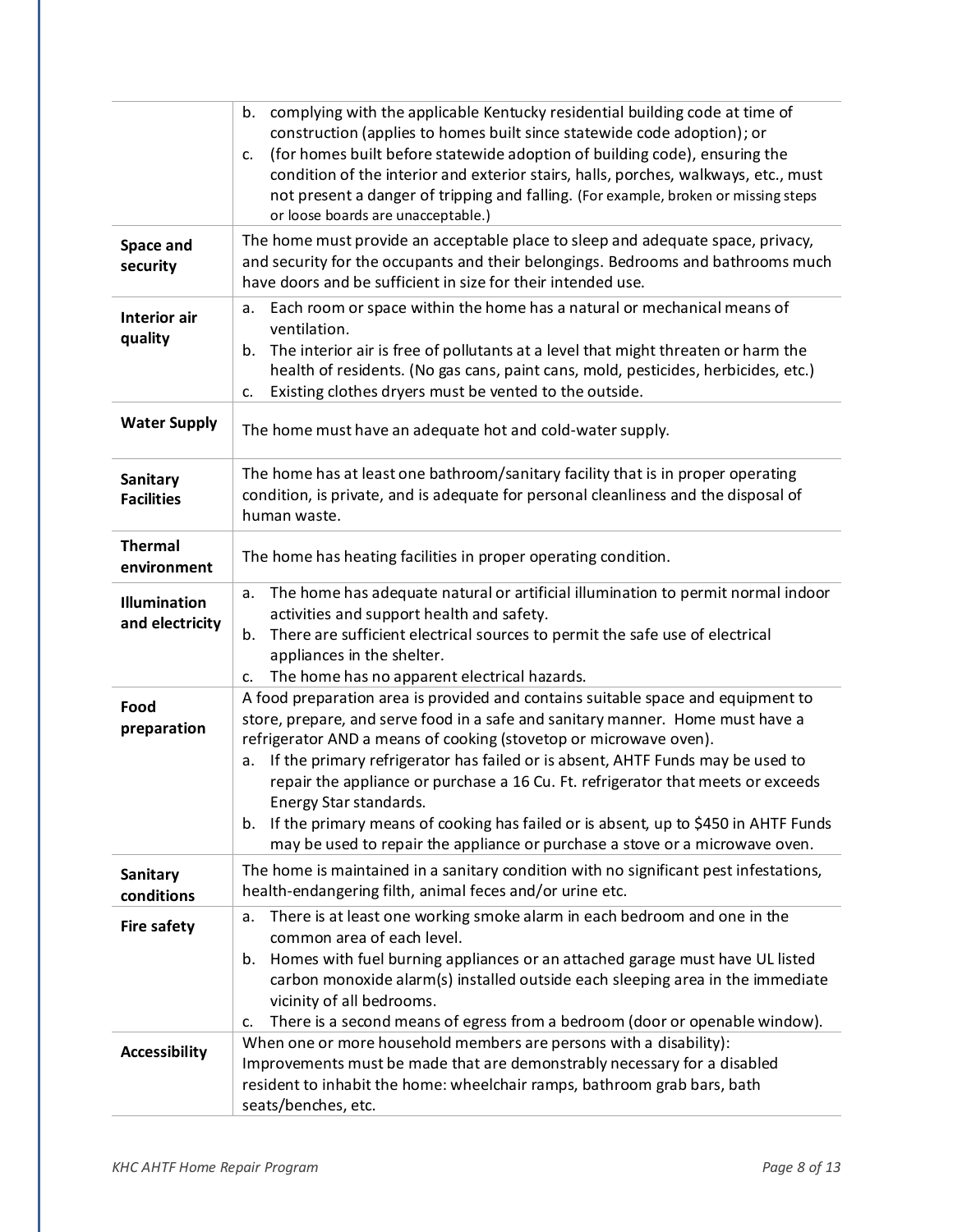| Space and                              | complying with the applicable Kentucky residential building code at time of<br>b.<br>construction (applies to homes built since statewide code adoption); or<br>(for homes built before statewide adoption of building code), ensuring the<br>c.<br>condition of the interior and exterior stairs, halls, porches, walkways, etc., must<br>not present a danger of tripping and falling. (For example, broken or missing steps<br>or loose boards are unacceptable.)<br>The home must provide an acceptable place to sleep and adequate space, privacy,                                                                   |
|----------------------------------------|---------------------------------------------------------------------------------------------------------------------------------------------------------------------------------------------------------------------------------------------------------------------------------------------------------------------------------------------------------------------------------------------------------------------------------------------------------------------------------------------------------------------------------------------------------------------------------------------------------------------------|
| security                               | and security for the occupants and their belongings. Bedrooms and bathrooms much<br>have doors and be sufficient in size for their intended use.                                                                                                                                                                                                                                                                                                                                                                                                                                                                          |
| <b>Interior air</b><br>quality         | Each room or space within the home has a natural or mechanical means of<br>a.<br>ventilation.<br>The interior air is free of pollutants at a level that might threaten or harm the<br>b.<br>health of residents. (No gas cans, paint cans, mold, pesticides, herbicides, etc.)<br>Existing clothes dryers must be vented to the outside.<br>c.                                                                                                                                                                                                                                                                            |
| <b>Water Supply</b>                    | The home must have an adequate hot and cold-water supply.                                                                                                                                                                                                                                                                                                                                                                                                                                                                                                                                                                 |
| Sanitary<br><b>Facilities</b>          | The home has at least one bathroom/sanitary facility that is in proper operating<br>condition, is private, and is adequate for personal cleanliness and the disposal of<br>human waste.                                                                                                                                                                                                                                                                                                                                                                                                                                   |
| <b>Thermal</b><br>environment          | The home has heating facilities in proper operating condition.                                                                                                                                                                                                                                                                                                                                                                                                                                                                                                                                                            |
| <b>Illumination</b><br>and electricity | The home has adequate natural or artificial illumination to permit normal indoor<br>a.<br>activities and support health and safety.<br>There are sufficient electrical sources to permit the safe use of electrical<br>b.<br>appliances in the shelter.<br>The home has no apparent electrical hazards.<br>c.                                                                                                                                                                                                                                                                                                             |
| Food<br>preparation                    | A food preparation area is provided and contains suitable space and equipment to<br>store, prepare, and serve food in a safe and sanitary manner. Home must have a<br>refrigerator AND a means of cooking (stovetop or microwave oven).<br>If the primary refrigerator has failed or is absent, AHTF Funds may be used to<br>a.<br>repair the appliance or purchase a 16 Cu. Ft. refrigerator that meets or exceeds<br>Energy Star standards.<br>If the primary means of cooking has failed or is absent, up to \$450 in AHTF Funds<br>b.<br>may be used to repair the appliance or purchase a stove or a microwave oven. |
| Sanitary<br>conditions                 | The home is maintained in a sanitary condition with no significant pest infestations,<br>health-endangering filth, animal feces and/or urine etc.                                                                                                                                                                                                                                                                                                                                                                                                                                                                         |
| <b>Fire safety</b>                     | There is at least one working smoke alarm in each bedroom and one in the<br>a.<br>common area of each level.<br>Homes with fuel burning appliances or an attached garage must have UL listed<br>b.<br>carbon monoxide alarm(s) installed outside each sleeping area in the immediate<br>vicinity of all bedrooms.<br>There is a second means of egress from a bedroom (door or openable window).<br>c.                                                                                                                                                                                                                    |
| <b>Accessibility</b>                   | When one or more household members are persons with a disability):<br>Improvements must be made that are demonstrably necessary for a disabled<br>resident to inhabit the home: wheelchair ramps, bathroom grab bars, bath<br>seats/benches, etc.                                                                                                                                                                                                                                                                                                                                                                         |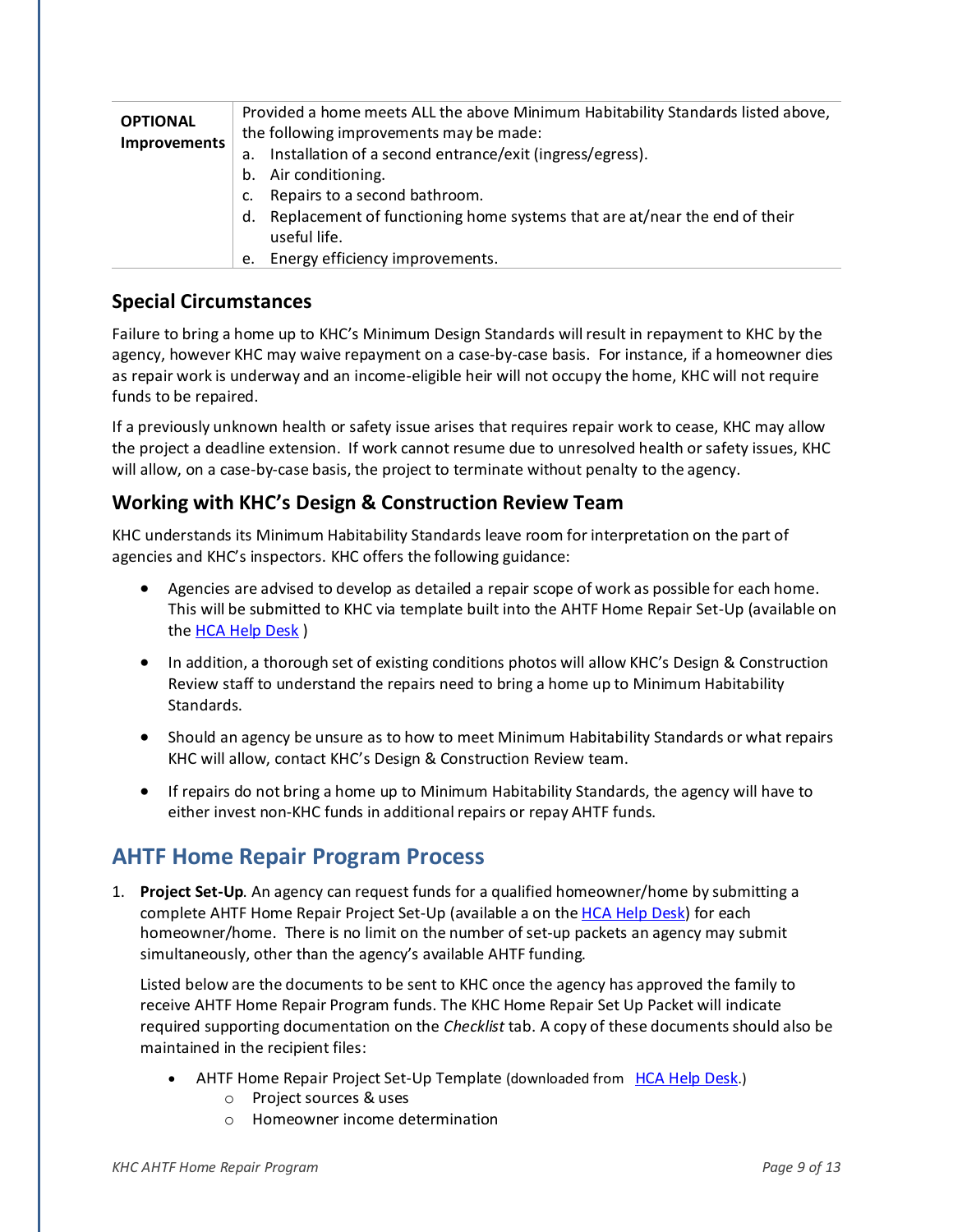| <b>OPTIONAL</b> | Provided a home meets ALL the above Minimum Habitability Standards listed above, |
|-----------------|----------------------------------------------------------------------------------|
| Improvements    | the following improvements may be made:                                          |
|                 | Installation of a second entrance/exit (ingress/egress).<br>а.                   |
|                 | Air conditioning.<br>b.                                                          |
|                 | Repairs to a second bathroom.<br>c.                                              |
|                 | Replacement of functioning home systems that are at/near the end of their<br>d.  |
|                 | useful life.                                                                     |
|                 | Energy efficiency improvements.<br>e.                                            |

#### **Special Circumstances**

Failure to bring a home up to KHC's Minimum Design Standards will result in repayment to KHC by the agency, however KHC may waive repayment on a case-by-case basis. For instance, if a homeowner dies as repair work is underway and an income-eligible heir will not occupy the home, KHC will not require funds to be repaired.

If a previously unknown health or safety issue arises that requires repair work to cease, KHC may allow the project a deadline extension. If work cannot resume due to unresolved health or safety issues, KHC will allow, on a case-by-case basis, the project to terminate without penalty to the agency.

#### **Working with KHC's Design & Construction Review Team**

KHC understands its Minimum Habitability Standards leave room for interpretation on the part of agencies and KHC's inspectors. KHC offers the following guidance:

- Agencies are advised to develop as detailed a repair scope of work as possible for each home. This will be submitted to KHC via template built into the AHTF Home Repair Set-Up (available on th[e HCA Help Desk](https://kyhmis.zendesk.com/) )
- In addition, a thorough set of existing conditions photos will allow KHC's Design & Construction Review staff to understand the repairs need to bring a home up to Minimum Habitability Standards.
- Should an agency be unsure as to how to meet Minimum Habitability Standards or what repairs KHC will allow, contact KHC's Design & Construction Review team.
- If repairs do not bring a home up to Minimum Habitability Standards, the agency will have to either invest non-KHC funds in additional repairs or repay AHTF funds.

## <span id="page-8-0"></span>**AHTF Home Repair Program Process**

1. **Project Set-Up**. An agency can request funds for a qualified homeowner/home by submitting a complete AHTF Home Repair Project Set-Up (available a on th[e HCA Help Desk\)](https://kyhmis.zendesk.com/) for each homeowner/home. There is no limit on the number of set-up packets an agency may submit simultaneously, other than the agency's available AHTF funding.

Listed below are the documents to be sent to KHC once the agency has approved the family to receive AHTF Home Repair Program funds. The KHC Home Repair Set Up Packet will indicate required supporting documentation on the *Checklist* tab. A copy of these documents should also be maintained in the recipient files:

- AHTF Home Repair Project Set-Up Template (downloaded from [HCA Help Desk](https://kyhmis.zendesk.com/).)
	- o Project sources & uses
	- o Homeowner income determination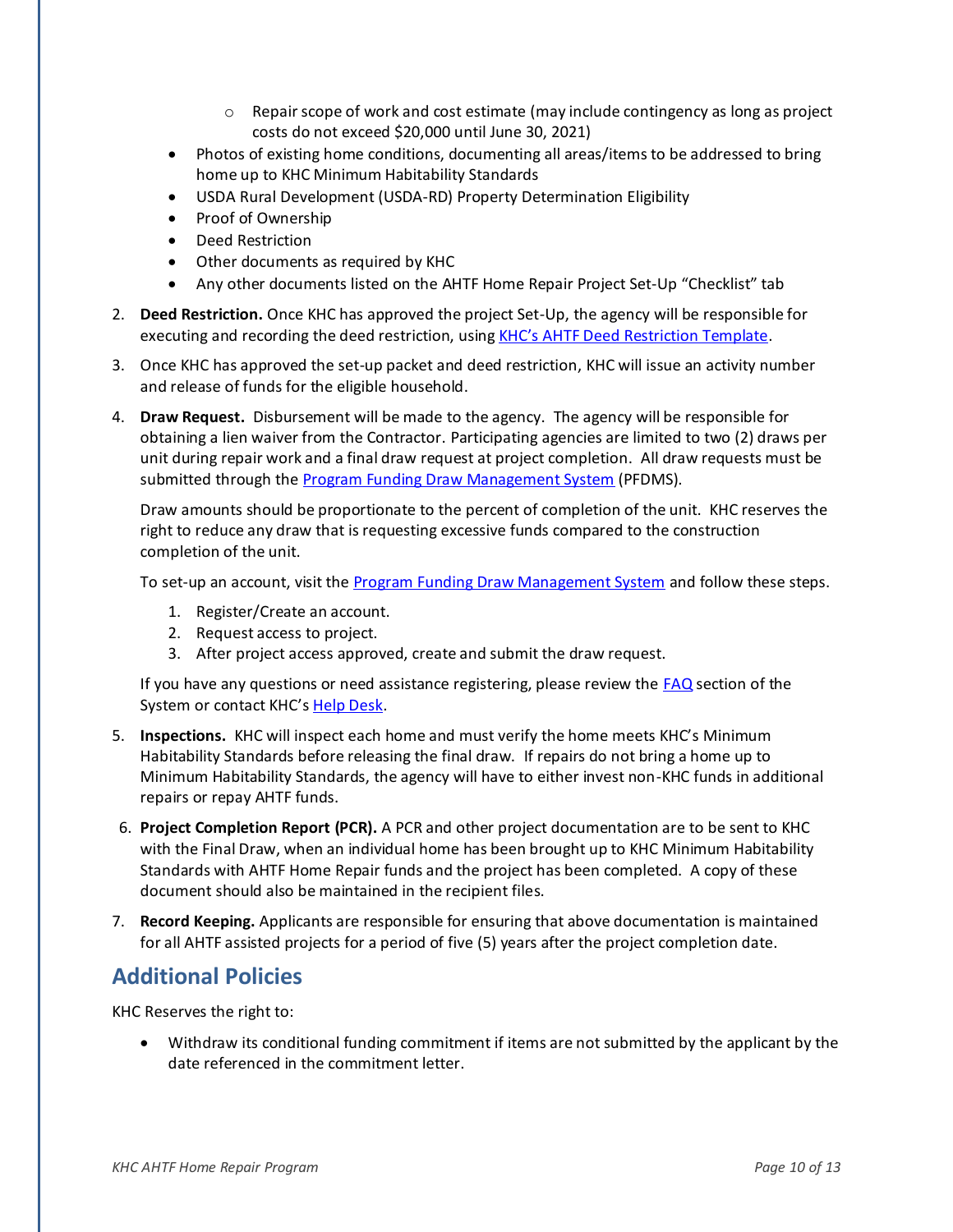- $\circ$  Repair scope of work and cost estimate (may include contingency as long as project costs do not exceed \$20,000 until June 30, 2021)
- Photos of existing home conditions, documenting all areas/items to be addressed to bring home up to KHC Minimum Habitability Standards
- USDA Rural Development (USDA-RD) Property Determination Eligibility
- Proof of Ownership
- Deed Restriction
- Other documents as required by KHC
- Any other documents listed on the AHTF Home Repair Project Set-Up "Checklist" tab
- 2. **Deed Restriction.** Once KHC has approved the project Set-Up, the agency will be responsible for executing and recording the deed restriction, using [KHC's AHTF Deed Restriction Template](https://kyhmis.zendesk.com/hc/en-us/articles/360010528614-HCA-AHTF-Deed-Restriction-Template).
- 3. Once KHC has approved the set-up packet and deed restriction, KHC will issue an activity number and release of funds for the eligible household.
- 4. **Draw Request.** Disbursement will be made to the agency. The agency will be responsible for obtaining a lien waiver from the Contractor. Participating agencies are limited to two (2) draws per unit during repair work and a final draw request at project completion. All draw requests must be submitted through the **Program Funding Draw Management System** (PFDMS).

Draw amounts should be proportionate to the percent of completion of the unit. KHC reserves the right to reduce any draw that is requesting excessive funds compared to the construction completion of the unit.

To set-up an account, visit the [Program Funding Draw Management System](https://wapps.kyhousing.org/Khc_webdraw/u/l) and follow these steps.

- 1. Register/Create an account.
- 2. Request access to project.
- 3. After project access approved, create and submit the draw request.

If you have any questions or need assistance registering, please review th[e FAQ](https://wapps.kyhousing.org/KHC_WebDraw/FAQ) section of the System or contact KHC's [Help Desk.](https://kyhmis.zendesk.com/home)

- 5. **Inspections.** KHC will inspect each home and must verify the home meets KHC's Minimum Habitability Standards before releasing the final draw. If repairs do not bring a home up to Minimum Habitability Standards, the agency will have to either invest non-KHC funds in additional repairs or repay AHTF funds.
- 6. **Project Completion Report (PCR).** A PCR and other project documentation are to be sent to KHC with the Final Draw, when an individual home has been brought up to KHC Minimum Habitability Standards with AHTF Home Repair funds and the project has been completed. A copy of these document should also be maintained in the recipient files.
- 7. **Record Keeping.** Applicants are responsible for ensuring that above documentation is maintained for all AHTF assisted projects for a period of five (5) years after the project completion date.

# <span id="page-9-0"></span>**Additional Policies**

KHC Reserves the right to:

• Withdraw its conditional funding commitment if items are not submitted by the applicant by the date referenced in the commitment letter.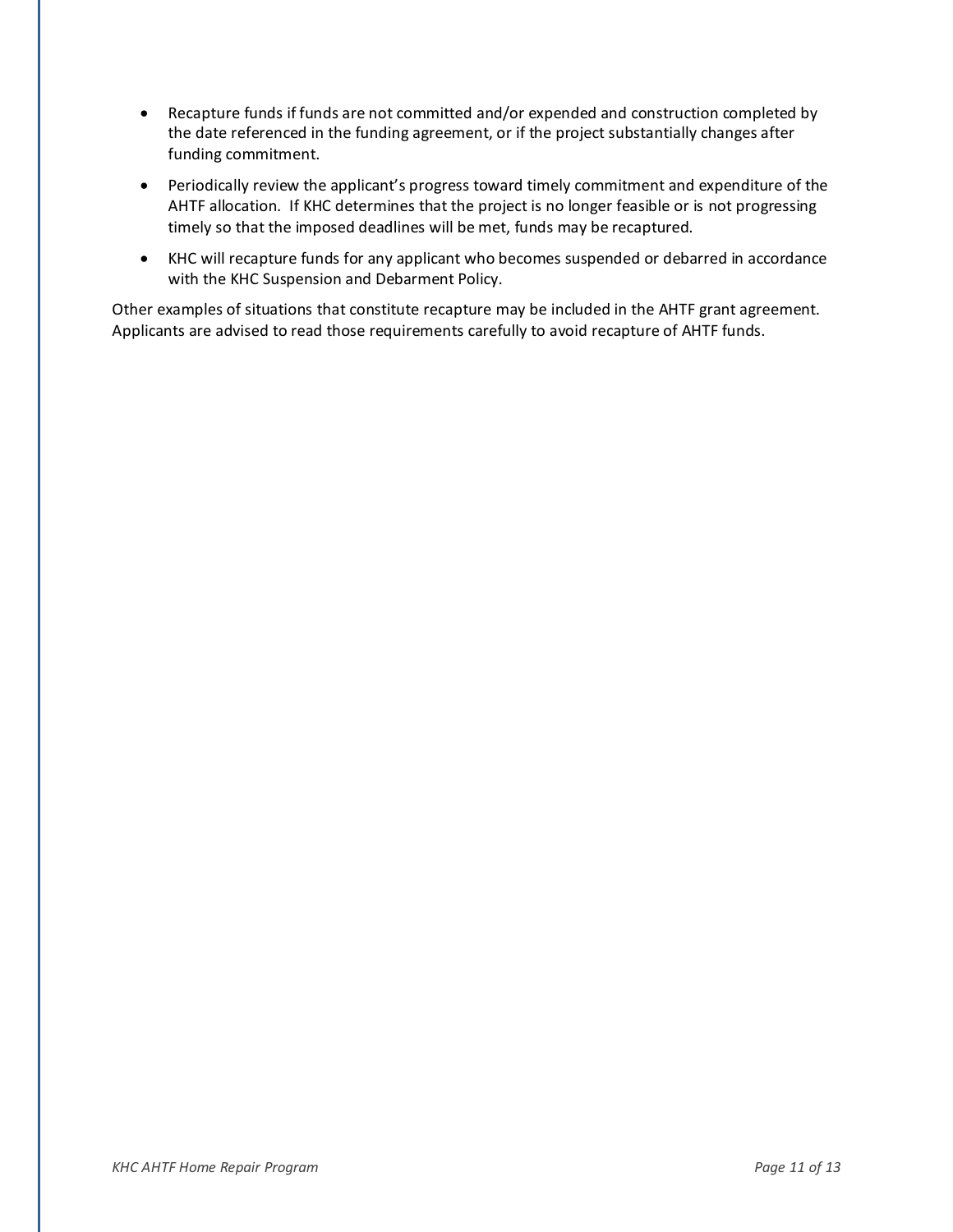- Recapture funds if funds are not committed and/or expended and construction completed by the date referenced in the funding agreement, or if the project substantially changes after funding commitment.
- Periodically review the applicant's progress toward timely commitment and expenditure of the AHTF allocation. If KHC determines that the project is no longer feasible or is not progressing timely so that the imposed deadlines will be met, funds may be recaptured.
- KHC will recapture funds for any applicant who becomes suspended or debarred in accordance with the KHC Suspension and Debarment Policy.

Other examples of situations that constitute recapture may be included in the AHTF grant agreement. Applicants are advised to read those requirements carefully to avoid recapture of AHTF funds.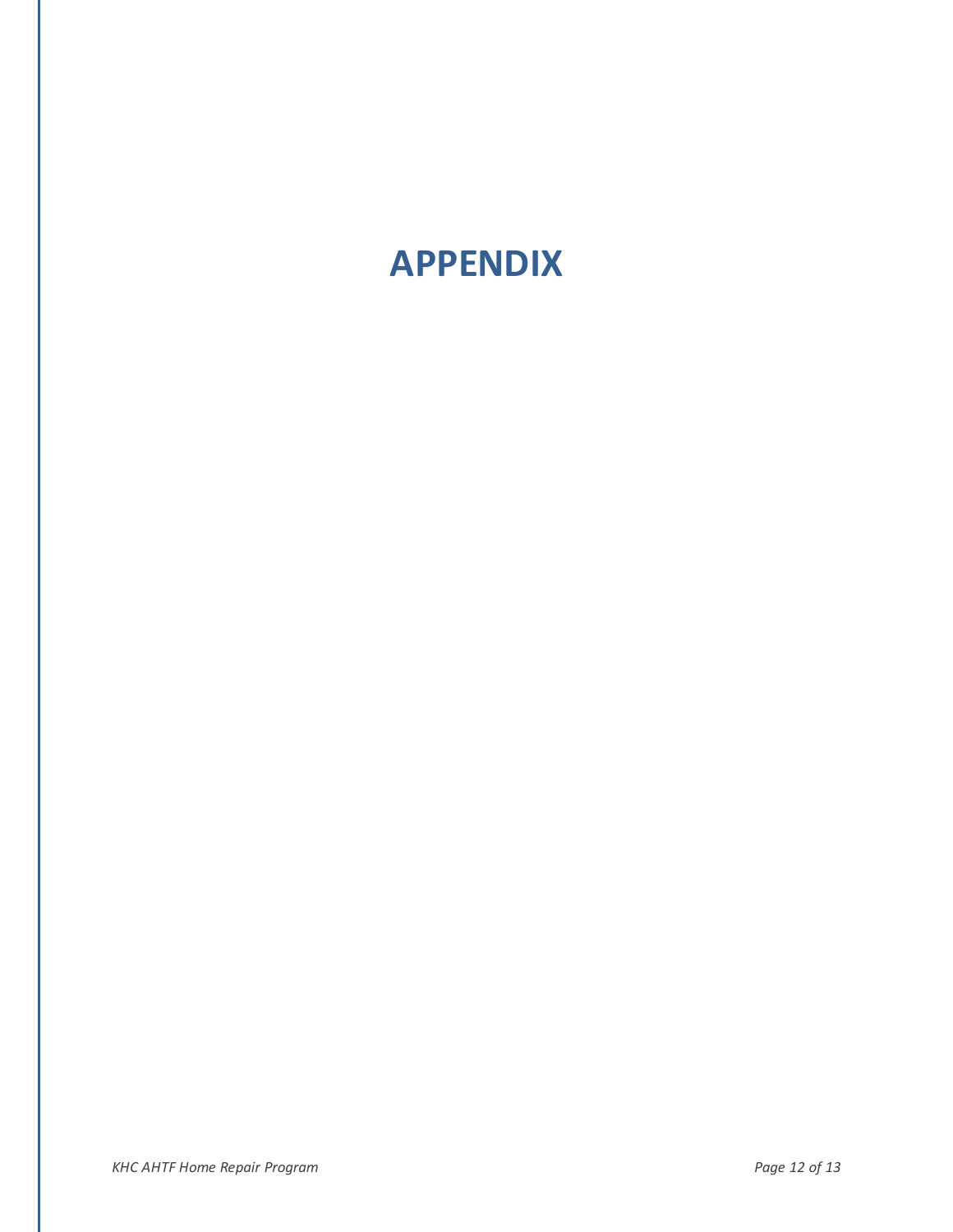# <span id="page-11-0"></span>**APPENDIX**